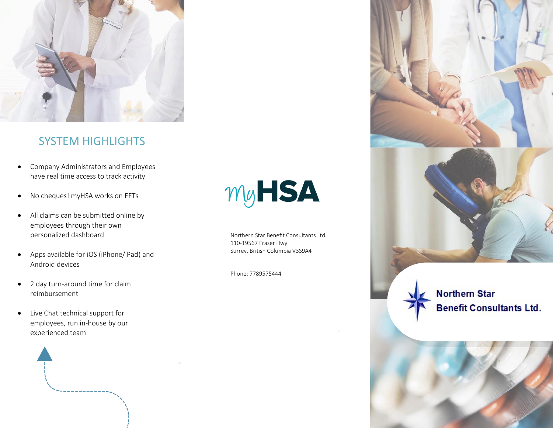

## SYSTEM HIGHLIGHTS

- Company Administrators and Employees have real time access to track activity
- No cheques! myHSA works on EFTs
- All claims can be submitted online by employees through their own personalized dashboard
- Apps available for iOS (iPhone/iPad) and Android devices
- 2 day turn-around time for claim reimbursement
- Live Chat technical support for employees, run in-house by our experienced team



# **MyHSA**

Northern Star Benefit Consultants Ltd. 110‐19567 Fraser Hwy Surrey, British Columbia V3S9A4

Phone: 7789575444